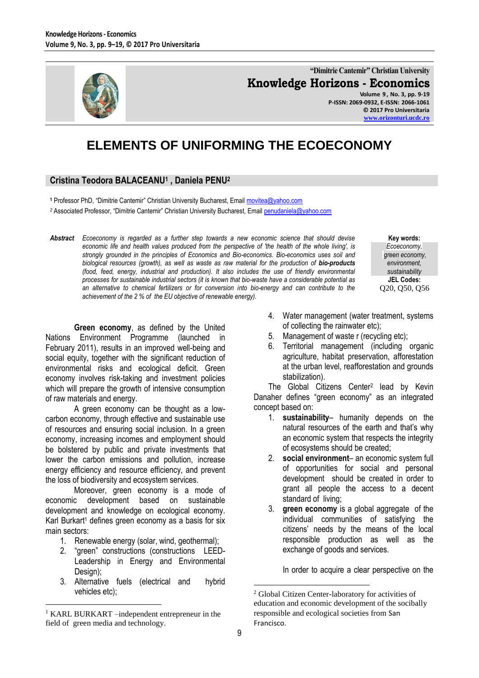

**"Dimitrie Cantemir" Christian University Knowledge Horizons - Economics Volume 9 , No. 3, pp. 9-19 P-ISSN: 2069-0932, E-ISSN: 2066-1061**

**© 2017 Pro Universitaria [www.orizonturi.ucdc.ro](http://www.orizonturi.ucdc.ro/)**

> **Key words:** *Ecoeconomy, green economy, environment, sustainability* **JEL Codes:** Q20, Q50, Q56

# **ELEMENTS OF UNIFORMING THE ECOECONOMY**

## **Cristina Teodora BALACEANU<sup>1</sup> , Daniela PENU<sup>2</sup>**

**<sup>1</sup>** Professor PhD, "Dimitrie Cantemir" Christian University Bucharest, Email [movitea@yahoo.com](mailto:movitea@yahoo.com)

*<sup>2</sup>* Associated Professor, "Dimitrie Cantemir" Christian University Bucharest, Email [penudaniela@yahoo.com](mailto:penudaniela@yahoo.com)

*Abstract Ecoeconomy is regarded as a further step towards a new economic science that should devise economic life and health values produced from the perspective of 'the health of the whole living', is strongly grounded in the principles of Economics and Bio-economics. Bio-economics uses soil and biological resources (growth), as well as waste as raw material for the production of bio-products (food, feed, energy, industrial and production). It also includes the use of friendly environmental processes for sustainable industrial sectors (it is known that bio-waste have a considerable potential as an alternative to chemical fertilizers or for conversion into bio-energy and can contribute to the achievement of the 2 % of the EU objective of renewable energy).*

**Green economy**, as defined by the United Nations Environment Programme (launched in February 2011), results in an improved well-being and social equity, together with the significant reduction of environmental risks and ecological deficit. Green economy involves risk-taking and investment policies which will prepare the growth of intensive consumption of raw materials and energy.

A green economy can be thought as a lowcarbon economy, through effective and sustainable use of resources and ensuring social inclusion. In a green economy, increasing incomes and employment should be bolstered by public and private investments that lower the carbon emissions and pollution, increase energy efficiency and resource efficiency, and prevent the loss of biodiversity and ecosystem services.

Moreover, green economy is a mode of economic development based on sustainable development and knowledge on ecological economy. Karl Burkart<sup>1</sup> defines green economy as a basis for six main sectors:

- 1. Renewable energy (solar, wind, geothermal);
- 2. "green" constructions (constructions LEED-Leadership in Energy and Environmental Design);
- 3. Alternative fuels (electrical and hybrid vehicles etc);

 $\overline{a}$ 

- 4. Water management (water treatment, systems of collecting the rainwater etc);
- 5. Management of waste r (recycling etc);
- 6. Territorial management (including organic agriculture, habitat preservation, afforestation at the urban level, reafforestation and grounds stabilization).

The Global Citizens Center<sup>2</sup> lead by Kevin Danaher defines "green economy" as an integrated concept based on:

- 1. **sustainability** humanity depends on the natural resources of the earth and that's why an economic system that respects the integrity of ecosystems should be created;
- 2. **social environment** an economic system full of opportunities for social and personal development should be created in order to grant all people the access to a decent standard of living;
- 3. **green economy** is a global aggregate of the individual communities of satisfying the citizens' needs by the means of the local responsible production as well as the exchange of goods and services.

In order to acquire a clear perspective on the

<sup>1</sup> KARL BURKART –independent entrepreneur in the field of green media and technology.

<sup>2</sup> Global Citizen Center-laboratory for activities of education and economic development of the socibally responsible and ecological societies from San Francisco.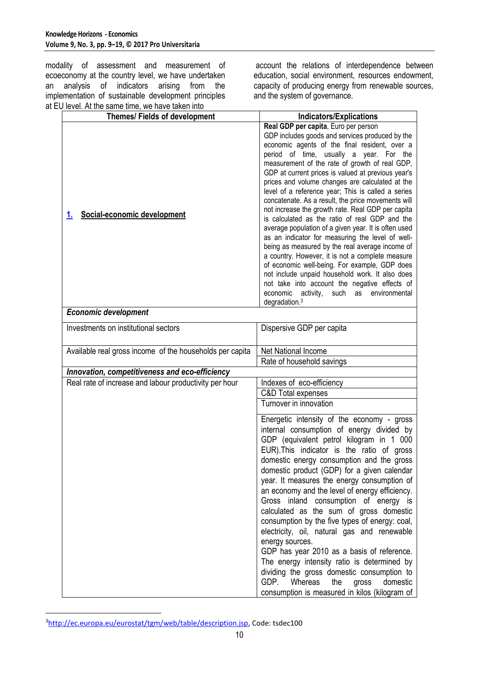modality of assessment and measurement of ecoeconomy at the country level, we have undertaken an analysis of indicators arising from the implementation of sustainable development principles at EU level. At the same time, we have taken into

account the relations of interdependence between education, social environment, resources endowment, capacity of producing energy from renewable sources, and the system of governance.

| $10001.7$ it the barnet time, we have taken into<br><b>Themes/Fields of development</b> | <b>Indicators/Explications</b>                                                                                                                                                                                                                                                                                                                                                                                                                                                                                                                                                                                                                                                                                                                                                                                                                                                                                                                                                                                                 |
|-----------------------------------------------------------------------------------------|--------------------------------------------------------------------------------------------------------------------------------------------------------------------------------------------------------------------------------------------------------------------------------------------------------------------------------------------------------------------------------------------------------------------------------------------------------------------------------------------------------------------------------------------------------------------------------------------------------------------------------------------------------------------------------------------------------------------------------------------------------------------------------------------------------------------------------------------------------------------------------------------------------------------------------------------------------------------------------------------------------------------------------|
| Social-economic development<br>1.                                                       | Real GDP per capita, Euro per person<br>GDP includes goods and services produced by the<br>economic agents of the final resident, over a<br>period of time, usually a year. For the<br>measurement of the rate of growth of real GDP,<br>GDP at current prices is valued at previous year's<br>prices and volume changes are calculated at the<br>level of a reference year; This is called a series<br>concatenate. As a result, the price movements will<br>not increase the growth rate. Real GDP per capita<br>is calculated as the ratio of real GDP and the<br>average population of a given year. It is often used<br>as an indicator for measuring the level of well-<br>being as measured by the real average income of<br>a country. However, it is not a complete measure<br>of economic well-being. For example, GDP does<br>not include unpaid household work. It also does<br>not take into account the negative effects of<br>economic<br>activity,<br>such<br>environmental<br>as<br>degradation. <sup>3</sup> |
| <b>Economic development</b>                                                             |                                                                                                                                                                                                                                                                                                                                                                                                                                                                                                                                                                                                                                                                                                                                                                                                                                                                                                                                                                                                                                |
| Investments on institutional sectors                                                    | Dispersive GDP per capita                                                                                                                                                                                                                                                                                                                                                                                                                                                                                                                                                                                                                                                                                                                                                                                                                                                                                                                                                                                                      |
| Available real gross income of the households per capita                                | Net National Income<br>Rate of household savings                                                                                                                                                                                                                                                                                                                                                                                                                                                                                                                                                                                                                                                                                                                                                                                                                                                                                                                                                                               |
| Innovation, competitiveness and eco-efficiency                                          |                                                                                                                                                                                                                                                                                                                                                                                                                                                                                                                                                                                                                                                                                                                                                                                                                                                                                                                                                                                                                                |
| Real rate of increase and labour productivity per hour                                  | Indexes of eco-efficiency<br>C&D Total expenses<br>Turnover in innovation                                                                                                                                                                                                                                                                                                                                                                                                                                                                                                                                                                                                                                                                                                                                                                                                                                                                                                                                                      |
|                                                                                         | Energetic intensity of the economy - gross<br>internal consumption of energy divided by<br>GDP (equivalent petrol kilogram in 1 000<br>EUR). This indicator is the ratio of gross<br>domestic energy consumption and the gross<br>domestic product (GDP) for a given calendar<br>year. It measures the energy consumption of<br>an economy and the level of energy efficiency.<br>Gross inland consumption of energy is<br>calculated as the sum of gross domestic<br>consumption by the five types of energy: coal,<br>electricity, oil, natural gas and renewable<br>energy sources.<br>GDP has year 2010 as a basis of reference.<br>The energy intensity ratio is determined by<br>dividing the gross domestic consumption to<br>GDP.<br>Whereas<br>gross<br>the<br>domestic<br>consumption is measured in kilos (kilogram of                                                                                                                                                                                              |

<sup>&</sup>lt;sup>3</sup>[http://ec.europa.eu/eurostat/tgm/web/table/description.jsp,](http://ec.europa.eu/eurostat/tgm/web/table/description.jsp) Code: tsdec100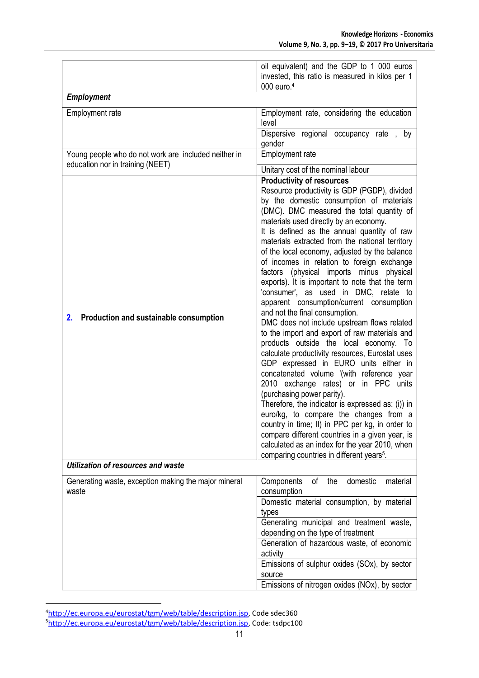|                                                                                                       | oil equivalent) and the GDP to 1 000 euros<br>invested, this ratio is measured in kilos per 1<br>000 euro. <sup>4</sup>                                                                                                                                                                                                                                                                                                                                                                                                                                                                                                                                                                                                                                                                                                                                                                                                                                                                                                                                                                                                                                                                                                                                                                                             |  |
|-------------------------------------------------------------------------------------------------------|---------------------------------------------------------------------------------------------------------------------------------------------------------------------------------------------------------------------------------------------------------------------------------------------------------------------------------------------------------------------------------------------------------------------------------------------------------------------------------------------------------------------------------------------------------------------------------------------------------------------------------------------------------------------------------------------------------------------------------------------------------------------------------------------------------------------------------------------------------------------------------------------------------------------------------------------------------------------------------------------------------------------------------------------------------------------------------------------------------------------------------------------------------------------------------------------------------------------------------------------------------------------------------------------------------------------|--|
| <b>Employment</b>                                                                                     |                                                                                                                                                                                                                                                                                                                                                                                                                                                                                                                                                                                                                                                                                                                                                                                                                                                                                                                                                                                                                                                                                                                                                                                                                                                                                                                     |  |
| Employment rate                                                                                       | Employment rate, considering the education<br>level                                                                                                                                                                                                                                                                                                                                                                                                                                                                                                                                                                                                                                                                                                                                                                                                                                                                                                                                                                                                                                                                                                                                                                                                                                                                 |  |
|                                                                                                       | Dispersive regional occupancy rate, by<br>gender                                                                                                                                                                                                                                                                                                                                                                                                                                                                                                                                                                                                                                                                                                                                                                                                                                                                                                                                                                                                                                                                                                                                                                                                                                                                    |  |
| Young people who do not work are included neither in<br>education nor in training (NEET)              | Employment rate<br>Unitary cost of the nominal labour                                                                                                                                                                                                                                                                                                                                                                                                                                                                                                                                                                                                                                                                                                                                                                                                                                                                                                                                                                                                                                                                                                                                                                                                                                                               |  |
| <b>Production and sustainable consumption</b><br>2 <sub>1</sub><br>Utilization of resources and waste | <b>Productivity of resources</b><br>Resource productivity is GDP (PGDP), divided<br>by the domestic consumption of materials<br>(DMC). DMC measured the total quantity of<br>materials used directly by an economy.<br>It is defined as the annual quantity of raw<br>materials extracted from the national territory<br>of the local economy, adjusted by the balance<br>of incomes in relation to foreign exchange<br>factors (physical imports minus physical<br>exports). It is important to note that the term<br>'consumer', as used in DMC, relate to<br>apparent consumption/current consumption<br>and not the final consumption.<br>DMC does not include upstream flows related<br>to the import and export of raw materials and<br>products outside the local economy. To<br>calculate productivity resources, Eurostat uses<br>GDP expressed in EURO units either in<br>concatenated volume '(with reference year<br>2010 exchange rates) or in PPC units<br>(purchasing power parity).<br>Therefore, the indicator is expressed as: (i)) in<br>euro/kg, to compare the changes from a<br>country in time; II) in PPC per kg, in order to<br>compare different countries in a given year, is<br>calculated as an index for the year 2010, when<br>comparing countries in different years <sup>5</sup> . |  |
|                                                                                                       |                                                                                                                                                                                                                                                                                                                                                                                                                                                                                                                                                                                                                                                                                                                                                                                                                                                                                                                                                                                                                                                                                                                                                                                                                                                                                                                     |  |
| Generating waste, exception making the major mineral<br>waste                                         | domestic<br>Components<br>οf<br>material<br>the<br>consumption<br>Domestic material consumption, by material<br>types<br>Generating municipal and treatment waste,                                                                                                                                                                                                                                                                                                                                                                                                                                                                                                                                                                                                                                                                                                                                                                                                                                                                                                                                                                                                                                                                                                                                                  |  |
|                                                                                                       | depending on the type of treatment<br>Generation of hazardous waste, of economic<br>activity<br>Emissions of sulphur oxides (SOx), by sector<br>source                                                                                                                                                                                                                                                                                                                                                                                                                                                                                                                                                                                                                                                                                                                                                                                                                                                                                                                                                                                                                                                                                                                                                              |  |
|                                                                                                       | Emissions of nitrogen oxides (NOx), by sector                                                                                                                                                                                                                                                                                                                                                                                                                                                                                                                                                                                                                                                                                                                                                                                                                                                                                                                                                                                                                                                                                                                                                                                                                                                                       |  |

<sup>4</sup>[http://ec.europa.eu/eurostat/tgm/web/table/description.jsp,](http://ec.europa.eu/eurostat/tgm/web/table/description.jsp) Code sdec360 <sup>5</sup>[http://ec.europa.eu/eurostat/tgm/web/table/description.jsp,](http://ec.europa.eu/eurostat/tgm/web/table/description.jsp) Code: tsdpc100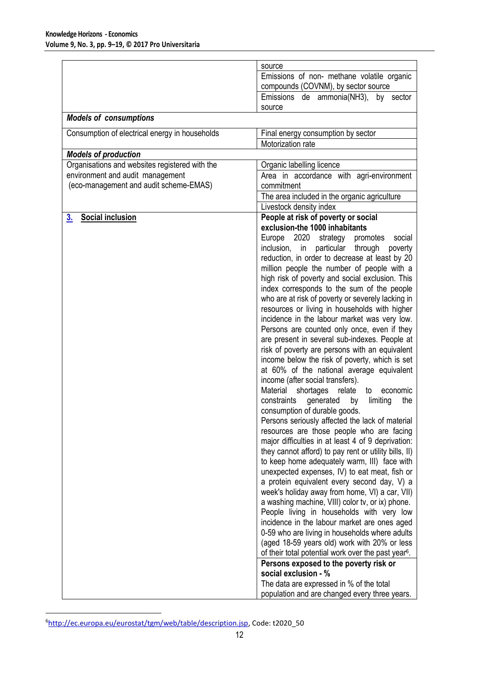|                                                | source                                                                                             |
|------------------------------------------------|----------------------------------------------------------------------------------------------------|
|                                                | Emissions of non- methane volatile organic<br>compounds (COVNM), by sector source                  |
|                                                | Emissions de ammonia(NH3), by sector                                                               |
|                                                | source                                                                                             |
| <b>Models of consumptions</b>                  |                                                                                                    |
| Consumption of electrical energy in households | Final energy consumption by sector                                                                 |
|                                                | Motorization rate                                                                                  |
| <b>Models of production</b>                    |                                                                                                    |
| Organisations and websites registered with the | Organic labelling licence                                                                          |
| environment and audit management               | Area in accordance with agri-environment                                                           |
| (eco-management and audit scheme-EMAS)         | commitment                                                                                         |
|                                                | The area included in the organic agriculture                                                       |
| <b>Social inclusion</b>                        | Livestock density index<br>People at risk of poverty or social                                     |
| <u>3.</u>                                      | exclusion-the 1000 inhabitants                                                                     |
|                                                | Europe 2020 strategy<br>promotes<br>social                                                         |
|                                                | inclusion, in particular<br>through poverty                                                        |
|                                                | reduction, in order to decrease at least by 20                                                     |
|                                                | million people the number of people with a                                                         |
|                                                | high risk of poverty and social exclusion. This                                                    |
|                                                | index corresponds to the sum of the people                                                         |
|                                                | who are at risk of poverty or severely lacking in<br>resources or living in households with higher |
|                                                | incidence in the labour market was very low.                                                       |
|                                                | Persons are counted only once, even if they                                                        |
|                                                | are present in several sub-indexes. People at                                                      |
|                                                | risk of poverty are persons with an equivalent                                                     |
|                                                | income below the risk of poverty, which is set                                                     |
|                                                | at 60% of the national average equivalent                                                          |
|                                                | income (after social transfers).                                                                   |
|                                                | Material<br>shortages<br>relate<br>to<br>economic                                                  |
|                                                | constraints<br>generated<br>by<br>limiting<br>the                                                  |
|                                                | consumption of durable goods.                                                                      |
|                                                | Persons seriously affected the lack of material<br>resources are those people who are facing       |
|                                                | major difficulties in at least 4 of 9 deprivation:                                                 |
|                                                | they cannot afford) to pay rent or utility bills, II)                                              |
|                                                | to keep home adequately warm, III) face with                                                       |
|                                                | unexpected expenses, IV) to eat meat, fish or                                                      |
|                                                | a protein equivalent every second day, V) a                                                        |
|                                                | week's holiday away from home, VI) a car, VII)                                                     |
|                                                | a washing machine, VIII) color tv, or ix) phone.                                                   |
|                                                | People living in households with very low                                                          |
|                                                | incidence in the labour market are ones aged                                                       |
|                                                | 0-59 who are living in households where adults<br>(aged 18-59 years old) work with 20% or less     |
|                                                | of their total potential work over the past year <sup>6</sup> .                                    |
|                                                | Persons exposed to the poverty risk or                                                             |
|                                                | social exclusion - %                                                                               |
|                                                | The data are expressed in % of the total                                                           |
|                                                | population and are changed every three years.                                                      |

 $\overline{a}$ <sup>6</sup>[http://ec.europa.eu/eurostat/tgm/web/table/description.jsp,](http://ec.europa.eu/eurostat/tgm/web/table/description.jsp) Code: t2020\_50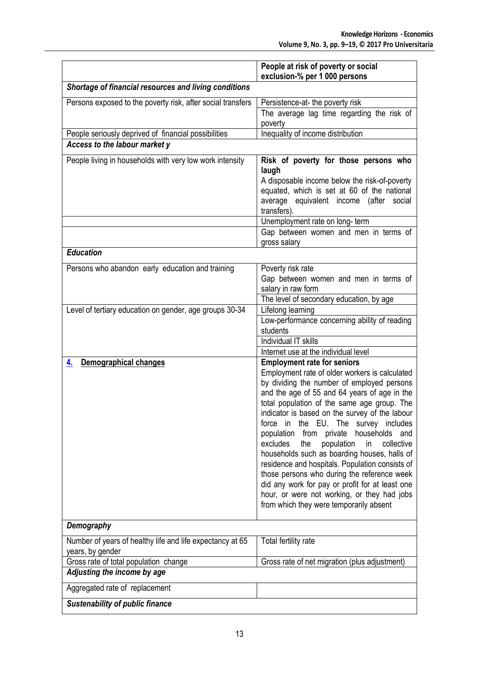|                                                                               | People at risk of poverty or social<br>exclusion-% per 1 000 persons                                                                                                                                                                                                                                                                                                                                                                                                                                                                                                                                                                                                                   |
|-------------------------------------------------------------------------------|----------------------------------------------------------------------------------------------------------------------------------------------------------------------------------------------------------------------------------------------------------------------------------------------------------------------------------------------------------------------------------------------------------------------------------------------------------------------------------------------------------------------------------------------------------------------------------------------------------------------------------------------------------------------------------------|
| Shortage of financial resources and living conditions                         |                                                                                                                                                                                                                                                                                                                                                                                                                                                                                                                                                                                                                                                                                        |
| Persons exposed to the poverty risk, after social transfers                   | Persistence-at- the poverty risk                                                                                                                                                                                                                                                                                                                                                                                                                                                                                                                                                                                                                                                       |
|                                                                               | The average lag time regarding the risk of                                                                                                                                                                                                                                                                                                                                                                                                                                                                                                                                                                                                                                             |
|                                                                               | poverty                                                                                                                                                                                                                                                                                                                                                                                                                                                                                                                                                                                                                                                                                |
| People seriously deprived of financial possibilities                          | Inequality of income distribution                                                                                                                                                                                                                                                                                                                                                                                                                                                                                                                                                                                                                                                      |
| Access to the labour market y                                                 |                                                                                                                                                                                                                                                                                                                                                                                                                                                                                                                                                                                                                                                                                        |
| People living in households with very low work intensity                      | Risk of poverty for those persons who<br>laugh<br>A disposable income below the risk-of-poverty<br>equated, which is set at 60 of the national<br>average equivalent income (after social<br>transfers).                                                                                                                                                                                                                                                                                                                                                                                                                                                                               |
|                                                                               | Unemployment rate on long-term                                                                                                                                                                                                                                                                                                                                                                                                                                                                                                                                                                                                                                                         |
|                                                                               | Gap between women and men in terms of<br>gross salary                                                                                                                                                                                                                                                                                                                                                                                                                                                                                                                                                                                                                                  |
| <b>Education</b>                                                              |                                                                                                                                                                                                                                                                                                                                                                                                                                                                                                                                                                                                                                                                                        |
| Persons who abandon early education and training                              | Poverty risk rate<br>Gap between women and men in terms of<br>salary in raw form<br>The level of secondary education, by age                                                                                                                                                                                                                                                                                                                                                                                                                                                                                                                                                           |
| Level of tertiary education on gender, age groups 30-34                       | Lifelong learning                                                                                                                                                                                                                                                                                                                                                                                                                                                                                                                                                                                                                                                                      |
|                                                                               | Low-performance concerning ability of reading<br>students                                                                                                                                                                                                                                                                                                                                                                                                                                                                                                                                                                                                                              |
|                                                                               | Individual IT skills                                                                                                                                                                                                                                                                                                                                                                                                                                                                                                                                                                                                                                                                   |
| <b>Demographical changes</b><br>4.                                            | Internet use at the individual level<br><b>Employment rate for seniors</b>                                                                                                                                                                                                                                                                                                                                                                                                                                                                                                                                                                                                             |
|                                                                               | Employment rate of older workers is calculated<br>by dividing the number of employed persons<br>and the age of 55 and 64 years of age in the<br>total population of the same age group. The<br>indicator is based on the survey of the labour<br>force in the EU. The survey includes<br>population from private<br>households and<br>excludes<br>population<br>collective<br>the<br>in<br>households such as boarding houses, halls of<br>residence and hospitals. Population consists of<br>those persons who during the reference week<br>did any work for pay or profit for at least one<br>hour, or were not working, or they had jobs<br>from which they were temporarily absent |
| Demography                                                                    |                                                                                                                                                                                                                                                                                                                                                                                                                                                                                                                                                                                                                                                                                        |
| Number of years of healthy life and life expectancy at 65<br>years, by gender | Total fertility rate                                                                                                                                                                                                                                                                                                                                                                                                                                                                                                                                                                                                                                                                   |
| Gross rate of total population change                                         | Gross rate of net migration (plus adjustment)                                                                                                                                                                                                                                                                                                                                                                                                                                                                                                                                                                                                                                          |
| Adjusting the income by age                                                   |                                                                                                                                                                                                                                                                                                                                                                                                                                                                                                                                                                                                                                                                                        |
| Aggregated rate of replacement                                                |                                                                                                                                                                                                                                                                                                                                                                                                                                                                                                                                                                                                                                                                                        |
| <b>Sustenability of public finance</b>                                        |                                                                                                                                                                                                                                                                                                                                                                                                                                                                                                                                                                                                                                                                                        |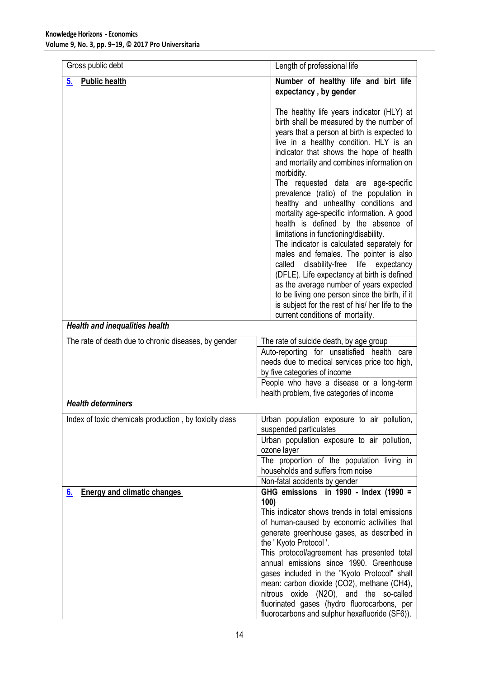| Gross public debt                                      | Length of professional life                                                                                                                                                                                                                                                                                                                                                                                                                                                                                                                                                                                                                                                                                                                                                                                                                                                                                                 |
|--------------------------------------------------------|-----------------------------------------------------------------------------------------------------------------------------------------------------------------------------------------------------------------------------------------------------------------------------------------------------------------------------------------------------------------------------------------------------------------------------------------------------------------------------------------------------------------------------------------------------------------------------------------------------------------------------------------------------------------------------------------------------------------------------------------------------------------------------------------------------------------------------------------------------------------------------------------------------------------------------|
| <b>Public health</b><br>5.                             | Number of healthy life and birt life<br>expectancy, by gender                                                                                                                                                                                                                                                                                                                                                                                                                                                                                                                                                                                                                                                                                                                                                                                                                                                               |
|                                                        | The healthy life years indicator (HLY) at<br>birth shall be measured by the number of<br>years that a person at birth is expected to<br>live in a healthy condition. HLY is an<br>indicator that shows the hope of health<br>and mortality and combines information on<br>morbidity.<br>The requested data are age-specific<br>prevalence (ratio) of the population in<br>healthy and unhealthy conditions and<br>mortality age-specific information. A good<br>health is defined by the absence of<br>limitations in functioning/disability.<br>The indicator is calculated separately for<br>males and females. The pointer is also<br>disability-free<br>called<br>life<br>expectancy<br>(DFLE). Life expectancy at birth is defined<br>as the average number of years expected<br>to be living one person since the birth, if it<br>is subject for the rest of his/ her life to the<br>current conditions of mortality. |
| <b>Health and inequalities health</b>                  |                                                                                                                                                                                                                                                                                                                                                                                                                                                                                                                                                                                                                                                                                                                                                                                                                                                                                                                             |
| The rate of death due to chronic diseases, by gender   | The rate of suicide death, by age group<br>Auto-reporting for unsatisfied health care<br>needs due to medical services price too high,<br>by five categories of income<br>People who have a disease or a long-term<br>health problem, five categories of income                                                                                                                                                                                                                                                                                                                                                                                                                                                                                                                                                                                                                                                             |
| <b>Health determiners</b>                              |                                                                                                                                                                                                                                                                                                                                                                                                                                                                                                                                                                                                                                                                                                                                                                                                                                                                                                                             |
| Index of toxic chemicals production, by toxicity class | Urban population exposure to air pollution,<br>suspended particulates                                                                                                                                                                                                                                                                                                                                                                                                                                                                                                                                                                                                                                                                                                                                                                                                                                                       |
|                                                        | Urban population exposure to air pollution,<br>ozone layer                                                                                                                                                                                                                                                                                                                                                                                                                                                                                                                                                                                                                                                                                                                                                                                                                                                                  |
|                                                        | The proportion of the population living in<br>households and suffers from noise                                                                                                                                                                                                                                                                                                                                                                                                                                                                                                                                                                                                                                                                                                                                                                                                                                             |
|                                                        | Non-fatal accidents by gender<br>GHG emissions in 1990 - Index (1990 =                                                                                                                                                                                                                                                                                                                                                                                                                                                                                                                                                                                                                                                                                                                                                                                                                                                      |
| <b>Energy and climatic changes</b><br><u>6.</u>        | 100)<br>This indicator shows trends in total emissions<br>of human-caused by economic activities that<br>generate greenhouse gases, as described in<br>the 'Kyoto Protocol'.<br>This protocol/agreement has presented total<br>annual emissions since 1990. Greenhouse<br>gases included in the "Kyoto Protocol" shall<br>mean: carbon dioxide (CO2), methane (CH4),<br>nitrous oxide (N2O), and the so-called<br>fluorinated gases (hydro fluorocarbons, per                                                                                                                                                                                                                                                                                                                                                                                                                                                               |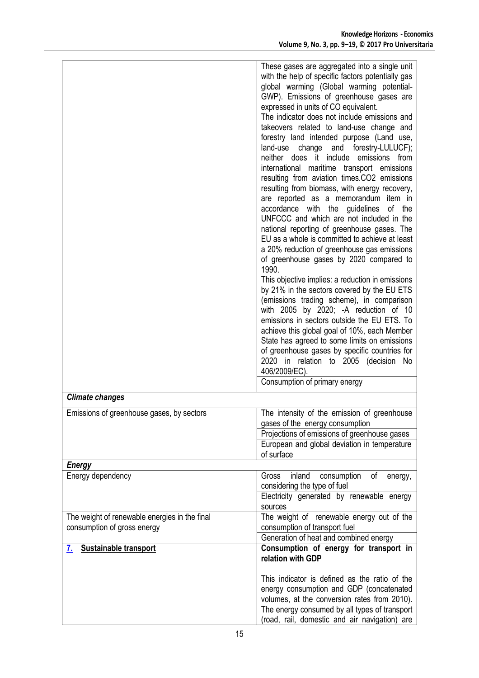|                                                                              | These gases are aggregated into a single unit<br>with the help of specific factors potentially gas<br>global warming (Global warming potential-<br>GWP). Emissions of greenhouse gases are<br>expressed in units of CO equivalent.<br>The indicator does not include emissions and<br>takeovers related to land-use change and<br>forestry land intended purpose (Land use,<br>change and forestry-LULUCF);<br>land-use<br>neither does it include emissions from<br>international maritime transport emissions<br>resulting from aviation times.CO2 emissions<br>resulting from biomass, with energy recovery,<br>are reported as a memorandum item in<br>accordance with the guidelines of the<br>UNFCCC and which are not included in the<br>national reporting of greenhouse gases. The<br>EU as a whole is committed to achieve at least<br>a 20% reduction of greenhouse gas emissions<br>of greenhouse gases by 2020 compared to<br>1990.<br>This objective implies: a reduction in emissions<br>by 21% in the sectors covered by the EU ETS<br>(emissions trading scheme), in comparison<br>with 2005 by 2020; -A reduction of 10<br>emissions in sectors outside the EU ETS. To<br>achieve this global goal of 10%, each Member<br>State has agreed to some limits on emissions<br>of greenhouse gases by specific countries for<br>2020 in relation to 2005 (decision No<br>406/2009/EC). |
|------------------------------------------------------------------------------|-----------------------------------------------------------------------------------------------------------------------------------------------------------------------------------------------------------------------------------------------------------------------------------------------------------------------------------------------------------------------------------------------------------------------------------------------------------------------------------------------------------------------------------------------------------------------------------------------------------------------------------------------------------------------------------------------------------------------------------------------------------------------------------------------------------------------------------------------------------------------------------------------------------------------------------------------------------------------------------------------------------------------------------------------------------------------------------------------------------------------------------------------------------------------------------------------------------------------------------------------------------------------------------------------------------------------------------------------------------------------------------------------------|
|                                                                              | Consumption of primary energy                                                                                                                                                                                                                                                                                                                                                                                                                                                                                                                                                                                                                                                                                                                                                                                                                                                                                                                                                                                                                                                                                                                                                                                                                                                                                                                                                                       |
| <b>Climate changes</b>                                                       |                                                                                                                                                                                                                                                                                                                                                                                                                                                                                                                                                                                                                                                                                                                                                                                                                                                                                                                                                                                                                                                                                                                                                                                                                                                                                                                                                                                                     |
| Emissions of greenhouse gases, by sectors                                    | The intensity of the emission of greenhouse<br>gases of the energy consumption<br>Projections of emissions of greenhouse gases<br>European and global deviation in temperature<br>of surface                                                                                                                                                                                                                                                                                                                                                                                                                                                                                                                                                                                                                                                                                                                                                                                                                                                                                                                                                                                                                                                                                                                                                                                                        |
| <b>Energy</b>                                                                |                                                                                                                                                                                                                                                                                                                                                                                                                                                                                                                                                                                                                                                                                                                                                                                                                                                                                                                                                                                                                                                                                                                                                                                                                                                                                                                                                                                                     |
| Energy dependency                                                            | consumption<br>Gross<br>inland<br>of<br>energy,<br>considering the type of fuel<br>Electricity generated by renewable energy<br>sources                                                                                                                                                                                                                                                                                                                                                                                                                                                                                                                                                                                                                                                                                                                                                                                                                                                                                                                                                                                                                                                                                                                                                                                                                                                             |
| The weight of renewable energies in the final<br>consumption of gross energy | The weight of renewable energy out of the<br>consumption of transport fuel<br>Generation of heat and combined energy                                                                                                                                                                                                                                                                                                                                                                                                                                                                                                                                                                                                                                                                                                                                                                                                                                                                                                                                                                                                                                                                                                                                                                                                                                                                                |
| 7. Sustainable transport                                                     | Consumption of energy for transport in<br>relation with GDP                                                                                                                                                                                                                                                                                                                                                                                                                                                                                                                                                                                                                                                                                                                                                                                                                                                                                                                                                                                                                                                                                                                                                                                                                                                                                                                                         |
|                                                                              | This indicator is defined as the ratio of the<br>energy consumption and GDP (concatenated<br>volumes, at the conversion rates from 2010).<br>The energy consumed by all types of transport<br>(road, rail, domestic and air navigation) are                                                                                                                                                                                                                                                                                                                                                                                                                                                                                                                                                                                                                                                                                                                                                                                                                                                                                                                                                                                                                                                                                                                                                         |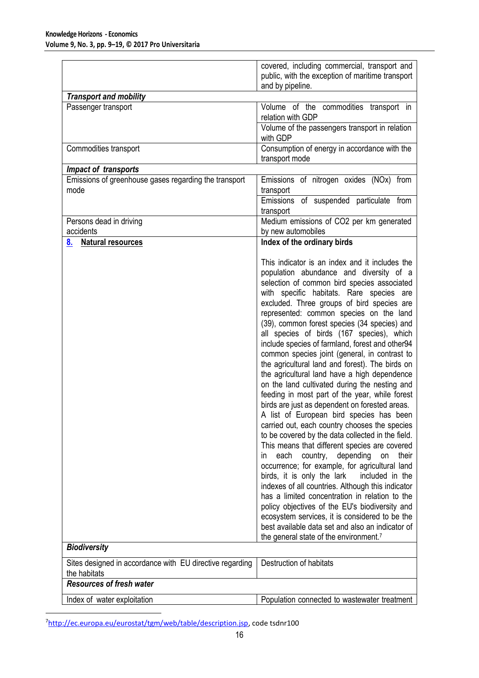|                                                                          | covered, including commercial, transport and<br>public, with the exception of maritime transport<br>and by pipeline.                                                                                                                                                                                                                                                                                                                                                                                                                                                                                                                                                                                                                                                                                                                                                                                                                                                                                                                                                                                                                                                                                                                                                                                                                                                                                      |
|--------------------------------------------------------------------------|-----------------------------------------------------------------------------------------------------------------------------------------------------------------------------------------------------------------------------------------------------------------------------------------------------------------------------------------------------------------------------------------------------------------------------------------------------------------------------------------------------------------------------------------------------------------------------------------------------------------------------------------------------------------------------------------------------------------------------------------------------------------------------------------------------------------------------------------------------------------------------------------------------------------------------------------------------------------------------------------------------------------------------------------------------------------------------------------------------------------------------------------------------------------------------------------------------------------------------------------------------------------------------------------------------------------------------------------------------------------------------------------------------------|
| <b>Transport and mobility</b>                                            |                                                                                                                                                                                                                                                                                                                                                                                                                                                                                                                                                                                                                                                                                                                                                                                                                                                                                                                                                                                                                                                                                                                                                                                                                                                                                                                                                                                                           |
| Passenger transport                                                      | Volume of the commodities transport in<br>relation with GDP                                                                                                                                                                                                                                                                                                                                                                                                                                                                                                                                                                                                                                                                                                                                                                                                                                                                                                                                                                                                                                                                                                                                                                                                                                                                                                                                               |
|                                                                          | Volume of the passengers transport in relation<br>with GDP                                                                                                                                                                                                                                                                                                                                                                                                                                                                                                                                                                                                                                                                                                                                                                                                                                                                                                                                                                                                                                                                                                                                                                                                                                                                                                                                                |
| Commodities transport                                                    | Consumption of energy in accordance with the<br>transport mode                                                                                                                                                                                                                                                                                                                                                                                                                                                                                                                                                                                                                                                                                                                                                                                                                                                                                                                                                                                                                                                                                                                                                                                                                                                                                                                                            |
| Impact of transports                                                     |                                                                                                                                                                                                                                                                                                                                                                                                                                                                                                                                                                                                                                                                                                                                                                                                                                                                                                                                                                                                                                                                                                                                                                                                                                                                                                                                                                                                           |
| Emissions of greenhouse gases regarding the transport<br>mode            | Emissions of nitrogen oxides (NOx) from<br>transport<br>Emissions of suspended particulate from                                                                                                                                                                                                                                                                                                                                                                                                                                                                                                                                                                                                                                                                                                                                                                                                                                                                                                                                                                                                                                                                                                                                                                                                                                                                                                           |
|                                                                          | transport                                                                                                                                                                                                                                                                                                                                                                                                                                                                                                                                                                                                                                                                                                                                                                                                                                                                                                                                                                                                                                                                                                                                                                                                                                                                                                                                                                                                 |
| Persons dead in driving<br>accidents                                     | Medium emissions of CO2 per km generated<br>by new automobiles                                                                                                                                                                                                                                                                                                                                                                                                                                                                                                                                                                                                                                                                                                                                                                                                                                                                                                                                                                                                                                                                                                                                                                                                                                                                                                                                            |
| <b>Natural resources</b><br><u>8.</u>                                    | Index of the ordinary birds                                                                                                                                                                                                                                                                                                                                                                                                                                                                                                                                                                                                                                                                                                                                                                                                                                                                                                                                                                                                                                                                                                                                                                                                                                                                                                                                                                               |
|                                                                          | This indicator is an index and it includes the<br>population abundance and diversity of a<br>selection of common bird species associated<br>with specific habitats. Rare species are<br>excluded. Three groups of bird species are<br>represented: common species on the land<br>(39), common forest species (34 species) and<br>all species of birds (167 species), which<br>include species of farmland, forest and other94<br>common species joint (general, in contrast to<br>the agricultural land and forest). The birds on<br>the agricultural land have a high dependence<br>on the land cultivated during the nesting and<br>feeding in most part of the year, while forest<br>birds are just as dependent on forested areas.<br>A list of European bird species has been<br>carried out, each country chooses the species<br>to be covered by the data collected in the field.<br>This means that different species are covered<br>each<br>country, depending<br>on<br>their<br>in.<br>occurrence; for example, for agricultural land<br>birds, it is only the lark<br>included in the<br>indexes of all countries. Although this indicator<br>has a limited concentration in relation to the<br>policy objectives of the EU's biodiversity and<br>ecosystem services, it is considered to be the<br>best available data set and also an indicator of<br>the general state of the environment.7 |
| <b>Biodiversity</b>                                                      |                                                                                                                                                                                                                                                                                                                                                                                                                                                                                                                                                                                                                                                                                                                                                                                                                                                                                                                                                                                                                                                                                                                                                                                                                                                                                                                                                                                                           |
| Sites designed in accordance with EU directive regarding<br>the habitats | Destruction of habitats                                                                                                                                                                                                                                                                                                                                                                                                                                                                                                                                                                                                                                                                                                                                                                                                                                                                                                                                                                                                                                                                                                                                                                                                                                                                                                                                                                                   |
| <b>Resources of fresh water</b>                                          |                                                                                                                                                                                                                                                                                                                                                                                                                                                                                                                                                                                                                                                                                                                                                                                                                                                                                                                                                                                                                                                                                                                                                                                                                                                                                                                                                                                                           |
| Index of water exploitation                                              | Population connected to wastewater treatment                                                                                                                                                                                                                                                                                                                                                                                                                                                                                                                                                                                                                                                                                                                                                                                                                                                                                                                                                                                                                                                                                                                                                                                                                                                                                                                                                              |

<sup>&</sup>lt;sup>7</sup>[http://ec.europa.eu/eurostat/tgm/web/table/description.jsp,](http://ec.europa.eu/eurostat/tgm/web/table/description.jsp) code tsdnr100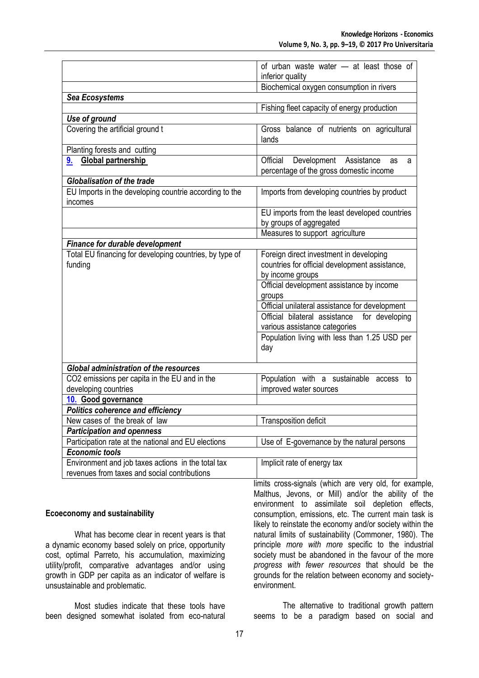|                                                                   | of urban waste water - at least those of                                                 |
|-------------------------------------------------------------------|------------------------------------------------------------------------------------------|
|                                                                   | inferior quality                                                                         |
|                                                                   | Biochemical oxygen consumption in rivers                                                 |
| Sea Ecosystems                                                    |                                                                                          |
|                                                                   | Fishing fleet capacity of energy production                                              |
| Use of ground                                                     |                                                                                          |
| Covering the artificial ground t                                  | Gross balance of nutrients on agricultural<br>lands                                      |
| Planting forests and cutting                                      |                                                                                          |
| Global partnership<br>9.                                          | Development Assistance<br>Official<br>as<br>a<br>percentage of the gross domestic income |
| <b>Globalisation of the trade</b>                                 |                                                                                          |
| EU Imports in the developing countrie according to the<br>incomes | Imports from developing countries by product                                             |
|                                                                   | EU imports from the least developed countries                                            |
|                                                                   | by groups of aggregated                                                                  |
|                                                                   | Measures to support agriculture                                                          |
| <b>Finance for durable development</b>                            |                                                                                          |
| Total EU financing for developing countries, by type of           | Foreign direct investment in developing                                                  |
| funding                                                           | countries for official development assistance,                                           |
|                                                                   | by income groups                                                                         |
|                                                                   | Official development assistance by income                                                |
|                                                                   | groups                                                                                   |
|                                                                   | Official unilateral assistance for development                                           |
|                                                                   | Official bilateral assistance for developing                                             |
|                                                                   | various assistance categories                                                            |
|                                                                   | Population living with less than 1.25 USD per                                            |
|                                                                   | day                                                                                      |
|                                                                   |                                                                                          |
| <b>Global administration of the resources</b>                     |                                                                                          |
| CO2 emissions per capita in the EU and in the                     | Population with a sustainable access to                                                  |
| developing countries                                              | improved water sources                                                                   |
| 10. Good governance                                               |                                                                                          |
| <b>Politics coherence and efficiency</b>                          |                                                                                          |
| New cases of the break of law                                     | <b>Transposition deficit</b>                                                             |
| <b>Participation and openness</b>                                 |                                                                                          |
| Participation rate at the national and EU elections               | Use of E-governance by the natural persons                                               |
| <b>Economic tools</b>                                             |                                                                                          |
| Environment and job taxes actions in the total tax                | Implicit rate of energy tax                                                              |
| revenues from taxes and social contributions                      |                                                                                          |

#### **Ecoeconomy and sustainability**

What has become clear in recent years is that a dynamic economy based solely on price, opportunity cost, optimal Parreto, his accumulation, maximizing utility/profit, comparative advantages and/or using growth in GDP per capita as an indicator of welfare is unsustainable and problematic.

Most studies indicate that these tools have been designed somewhat isolated from eco-natural limits cross-signals (which are very old, for example, Malthus, Jevons, or Mill) and/or the ability of the environment to assimilate soil depletion effects, consumption, emissions, etc. The current main task is likely to reinstate the economy and/or society within the natural limits of sustainability (Commoner, 1980). The principle *more with more* specific to the industrial society must be abandoned in the favour of the more *progress with fewer resources* that should be the grounds for the relation between economy and societyenvironment.

The alternative to traditional growth pattern seems to be a paradigm based on social and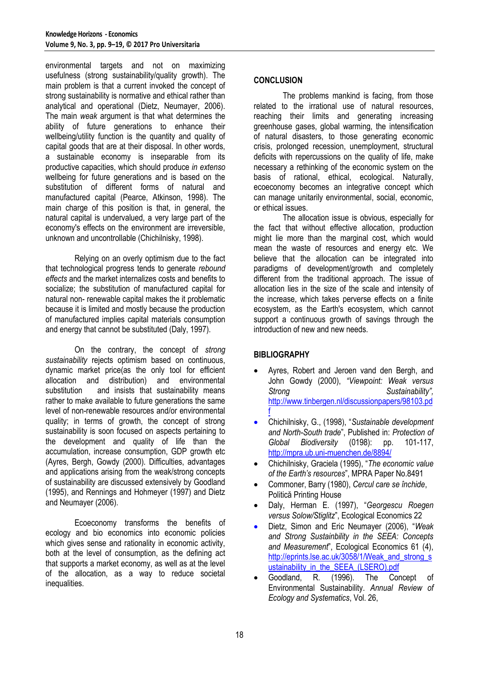environmental targets and not on maximizing usefulness (strong sustainability/quality growth). The main problem is that a current invoked the concept of strong sustainability is normative and ethical rather than analytical and operational (Dietz, Neumayer, 2006). The main *weak* argument is that what determines the ability of future generations to enhance their wellbeing/utility function is the quantity and quality of capital goods that are at their disposal. In other words, a sustainable economy is inseparable from its productive capacities, which should produce *in extenso* wellbeing for future generations and is based on the substitution of different forms of natural and manufactured capital (Pearce, Atkinson, 1998). The main charge of this position is that, in general, the natural capital is undervalued, a very large part of the economy's effects on the environment are irreversible, unknown and uncontrollable (Chichilnisky, 1998).

Relying on an overly optimism due to the fact that technological progress tends to generate *rebound effects* and the market internalizes costs and benefits to socialize; the substitution of manufactured capital for natural non- renewable capital makes the it problematic because it is limited and mostly because the production of manufactured implies capital materials consumption and energy that cannot be substituted (Daly, 1997).

On the contrary, the concept of *strong sustainability* rejects optimism based on continuous, dynamic market price(as the only tool for efficient allocation and distribution) and environmental substitution and insists that sustainability means rather to make available to future generations the same level of non-renewable resources and/or environmental quality; in terms of growth, the concept of strong sustainability is soon focused on aspects pertaining to the development and quality of life than the accumulation, increase consumption, GDP growth etc (Ayres, Bergh, Gowdy (2000). Difficulties, advantages and applications arising from the weak/strong concepts of sustainability are discussed extensively by Goodland (1995), and Rennings and Hohmeyer (1997) and Dietz and Neumayer (2006).

Ecoeconomy transforms the benefits of ecology and bio economics into economic policies which gives sense and rationality in economic activity, both at the level of consumption, as the defining act that supports a market economy, as well as at the level of the allocation, as a way to reduce societal inequalities.

#### **CONCLUSION**

The problems mankind is facing, from those related to the irrational use of natural resources, reaching their limits and generating increasing greenhouse gases, global warming, the intensification of natural disasters, to those generating economic crisis, prolonged recession, unemployment, structural deficits with repercussions on the quality of life, make necessary a rethinking of the economic system on the basis of rational, ethical, ecological. Naturally, ecoeconomy becomes an integrative concept which can manage unitarily environmental, social, economic, or ethical issues.

The allocation issue is obvious, especially for the fact that without effective allocation, production might lie more than the marginal cost, which would mean the waste of resources and energy etc. We believe that the allocation can be integrated into paradigms of development/growth and completely different from the traditional approach. The issue of allocation lies in the size of the scale and intensity of the increase, which takes perverse effects on a finite ecosystem, as the Earth's ecosystem, which cannot support a continuous growth of savings through the introduction of new and new needs.

### **BIBLIOGRAPHY**

- Ayres, Robert and Jeroen vand den Bergh, and John Gowdy (2000), *"Viewpoint: Weak versus Strong Sustainability",*  [http://www.tinbergen.nl/discussionpapers/98103.pd](http://www.tinbergen.nl/discussionpapers/98103.pdf) [f](http://www.tinbergen.nl/discussionpapers/98103.pdf)
- Chichilnisky, G., (1998), "*Sustainable development and North-South trade*", Published in: *Protection of Global Biodiversity* (0198): pp. 101-117, <http://mpra.ub.uni-muenchen.de/8894/>
- Chichilnisky, Graciela (1995), "*The economic value of the Earth's resources*", MPRA Paper No.8491
- Commoner, Barry (1980), *Cercul care se închide*, Politică Printing House
- Daly, Herman E. (1997), "*Georgescu Roegen versus Solow/Stiglitz*", Ecological Economics 22
- Dietz, Simon and Eric Neumayer (2006), "*Weak and Strong Sustainbility in the SEEA: Concepts and Measurement*", Ecological Economics 61 (4), [http://eprints.lse.ac.uk/3058/1/Weak\\_and\\_strong\\_s](http://eprints.lse.ac.uk/3058/1/Weak_and_strong_sustainability_in_the_SEEA_(LSERO).pdf) ustainability in the SEEA (LSERO).pdf
- Goodland, R. (1996). The Concept of Environmental Sustainability. *Annual Review of Ecology and Systematics*, Vol. 26,